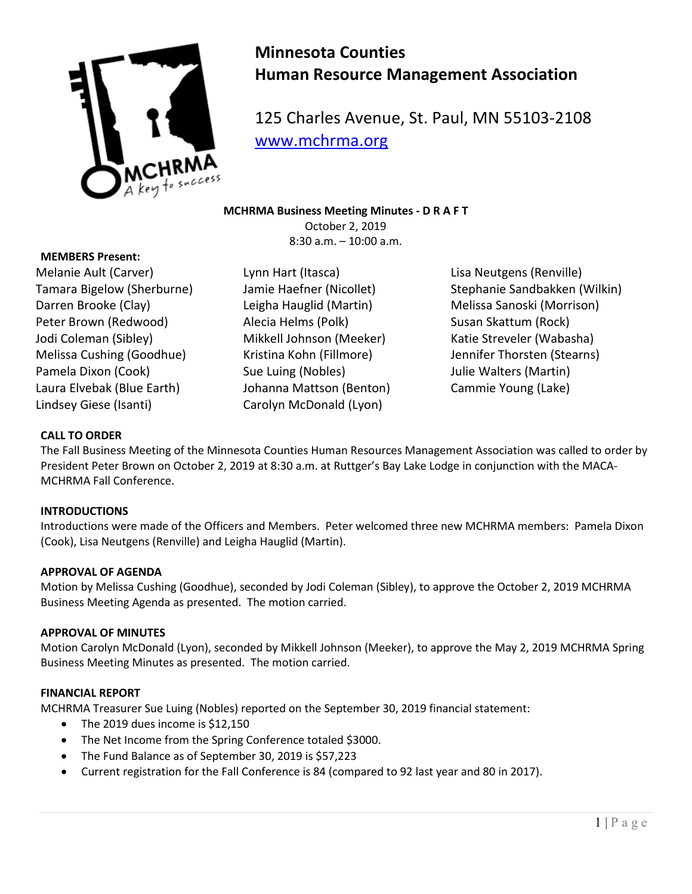

# **Minnesota Counties Human Resource Management Association**

125 Charles Avenue, St. Paul, MN 55103-2108 [www.mchrma.org](http://www.mchrma.org/)

**MCHRMA Business Meeting Minutes - D R A F T** October 2, 2019 8:30 a.m. – 10:00 a.m.

## **MEMBERS Present:**

Melanie Ault (Carver) Tamara Bigelow (Sherburne) Darren Brooke (Clay) Peter Brown (Redwood) Jodi Coleman (Sibley) Melissa Cushing (Goodhue) Pamela Dixon (Cook) Laura Elvebak (Blue Earth) Lindsey Giese (Isanti)

Lynn Hart (Itasca) Jamie Haefner (Nicollet) Leigha Hauglid (Martin) Alecia Helms (Polk) Mikkell Johnson (Meeker) Kristina Kohn (Fillmore) Sue Luing (Nobles) Johanna Mattson (Benton) Carolyn McDonald (Lyon)

Lisa Neutgens (Renville) Stephanie Sandbakken (Wilkin) Melissa Sanoski (Morrison) Susan Skattum (Rock) Katie Streveler (Wabasha) Jennifer Thorsten (Stearns) Julie Walters (Martin) Cammie Young (Lake)

## **CALL TO ORDER**

The Fall Business Meeting of the Minnesota Counties Human Resources Management Association was called to order by President Peter Brown on October 2, 2019 at 8:30 a.m. at Ruttger's Bay Lake Lodge in conjunction with the MACA-MCHRMA Fall Conference.

### **INTRODUCTIONS**

Introductions were made of the Officers and Members. Peter welcomed three new MCHRMA members: Pamela Dixon (Cook), Lisa Neutgens (Renville) and Leigha Hauglid (Martin).

### **APPROVAL OF AGENDA**

Motion by Melissa Cushing (Goodhue), seconded by Jodi Coleman (Sibley), to approve the October 2, 2019 MCHRMA Business Meeting Agenda as presented. The motion carried.

## **APPROVAL OF MINUTES**

Motion Carolyn McDonald (Lyon), seconded by Mikkell Johnson (Meeker), to approve the May 2, 2019 MCHRMA Spring Business Meeting Minutes as presented. The motion carried.

### **FINANCIAL REPORT**

MCHRMA Treasurer Sue Luing (Nobles) reported on the September 30, 2019 financial statement:

- The 2019 dues income is \$12,150
- The Net Income from the Spring Conference totaled \$3000.
- The Fund Balance as of September 30, 2019 is \$57,223
- Current registration for the Fall Conference is 84 (compared to 92 last year and 80 in 2017).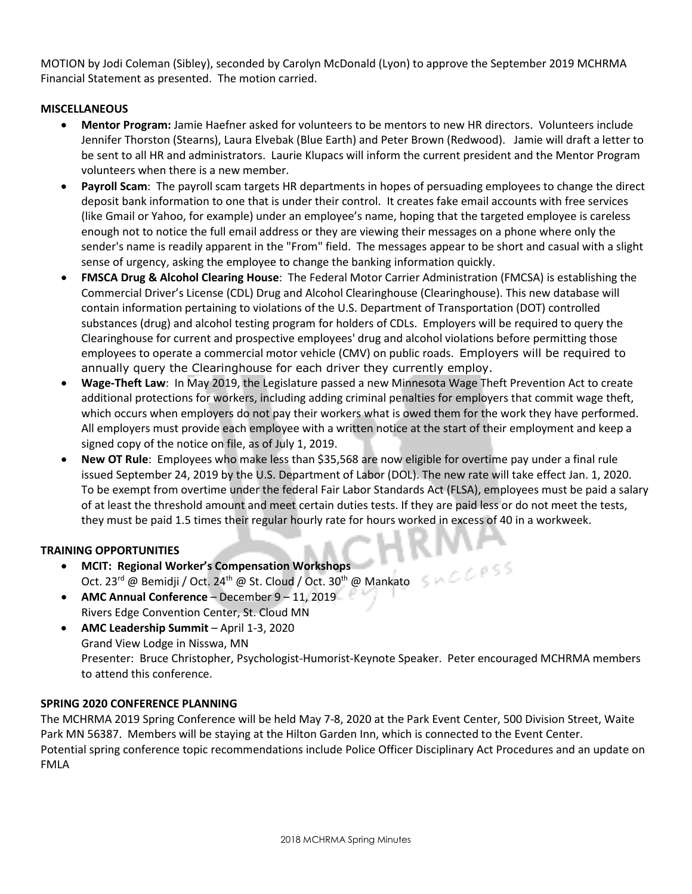MOTION by Jodi Coleman (Sibley), seconded by Carolyn McDonald (Lyon) to approve the September 2019 MCHRMA Financial Statement as presented. The motion carried.

## **MISCELLANEOUS**

- **Mentor Program:** Jamie Haefner asked for volunteers to be mentors to new HR directors. Volunteers include Jennifer Thorston (Stearns), Laura Elvebak (Blue Earth) and Peter Brown (Redwood). Jamie will draft a letter to be sent to all HR and administrators. Laurie Klupacs will inform the current president and the Mentor Program volunteers when there is a new member.
- **Payroll Scam**: The payroll scam targets HR departments in hopes of persuading employees to change the direct deposit bank information to one that is under their control. It creates fake email accounts with free services (like Gmail or Yahoo, for example) under an employee's name, hoping that the targeted employee is careless enough not to notice the full email address or they are viewing their messages on a phone where only the sender's name is readily apparent in the "From" field. The messages appear to be short and casual with a slight sense of urgency, asking the employee to change the banking information quickly.
- **FMSCA Drug & Alcohol Clearing House**: The Federal Motor Carrier Administration (FMCSA) is establishing the Commercial Driver's License (CDL) Drug and Alcohol Clearinghouse (Clearinghouse). This new database will contain information pertaining to violations of the U.S. Department of Transportation (DOT) controlled substances (drug) and alcohol testing program for holders of CDLs. Employers will be required to query the Clearinghouse for current and prospective employees' drug and alcohol violations before permitting those employees to operate a commercial motor vehicle (CMV) on public roads. Employers will be required to annually query the Clearinghouse for each driver they currently employ.
- **Wage-Theft Law**: In May 2019, the Legislature passed a new Minnesota Wage Theft Prevention Act to create additional protections for workers, including adding criminal penalties for employers that commit wage theft, which occurs when employers do not pay their workers what is owed them for the work they have performed. All employers must provide each employee with a written notice at the start of their employment and keep a signed copy of the notice on file, as of July 1, 2019.
- New OT Rule: Employees who make less than \$35,568 are now eligible for overtime pay under a final rule issued September 24, 2019 by the U.S. Department of Labor (DOL). The new rate will take effect Jan. 1, 2020. To be exempt from overtime under the federal Fair Labor Standards Act (FLSA), employees must be paid a salary of at least the threshold amount and meet certain duties tests. If they are paid less or do not meet the tests, they must be paid 1.5 times their regular hourly rate for hours worked in excess of 40 in a workweek.

## **TRAINING OPPORTUNITIES**

- **MCIT: Regional Worker's Compensation Workshops** Oct. 23<sup>rd</sup> @ Bemidji / Oct. 24<sup>th</sup> @ St. Cloud / Oct. 30<sup>th</sup> @ Mankato
- **AMC Annual Conference** December 9 11, 2019 Rivers Edge Convention Center, St. Cloud MN
- **AMC Leadership Summit** April 1-3, 2020 Grand View Lodge in Nisswa, MN Presenter: Bruce Christopher, Psychologist-Humorist-Keynote Speaker. Peter encouraged MCHRMA members to attend this conference.

## **SPRING 2020 CONFERENCE PLANNING**

The MCHRMA 2019 Spring Conference will be held May 7-8, 2020 at the Park Event Center, 500 Division Street, Waite Park MN 56387. Members will be staying at the Hilton Garden Inn, which is connected to the Event Center. Potential spring conference topic recommendations include Police Officer Disciplinary Act Procedures and an update on FMLA